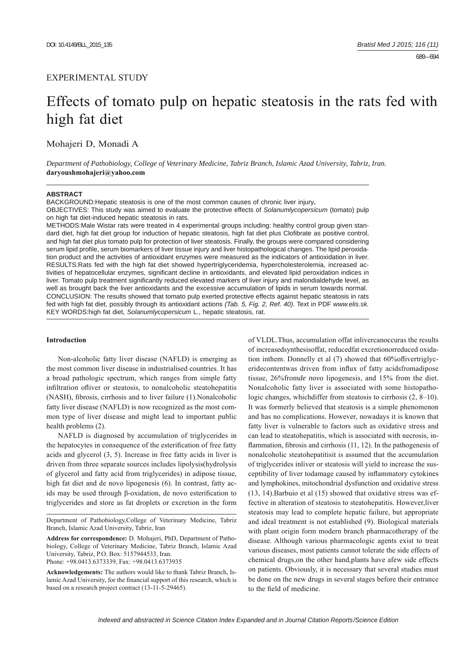# EXPERIMENTAL STUDY

# Effects of tomato pulp on hepatic steatosis in the rats fed with high fat diet

Mohajeri D, Monadi A

*Department of Pathobiology, College of Veterinary Medicine, Tabriz Branch, Islamic Azad University, Tabriz, Iran.* **daryoushmohajeri@yahoo.com**

#### **ABSTRACT**

BACKGROUND:Hepatic steatosis is one of the most common causes of chronic liver injury**.**

OBJECTIVES: This study was aimed to evaluate the protective effects of *Solanumlycopersicum* (tomato) pulp on high fat diet-induced hepatic steatosis in rats.

METHODS:Male Wistar rats were treated in 4 experimental groups including: healthy control group given standard diet, high fat diet group for induction of hepatic steatosis, high fat diet plus Clofibrate as positive control, and high fat diet plus tomato pulp for protection of liver steatosis. Finally, the groups were compared considering serum lipid profile, serum biomarkers of liver tissue injury and liver histopathological changes. The lipid peroxidation product and the activities of antioxidant enzymes were measured as the indicators of antioxidation in liver. RESULTS:Rats fed with the high fat diet showed hypertriglyceridemia, hypercholesterolemia, increased activities of hepatocellular enzymes, significant decline in antioxidants, and elevated lipid peroxidation indices in liver. Tomato pulp treatment significantly reduced elevated markers of liver injury and malondialdehyde level, as well as brought back the liver antioxidants and the excessive accumulation of lipids in serum towards normal. CONCLUSION: The results showed that tomato pulp exerted protective effects against hepatic steatosis in rats fed with high fat diet, possibly through its antioxidant actions *(Tab. 5, Fig. 2, Ref. 40)*. Text in PDF *www.elis.sk.* KEY WORDS:high fat diet, *Solanumlycopersicum* L., hepatic steatosis, rat.

## **Introduction**

Non-alcoholic fatty liver disease (NAFLD) is emerging as the most common liver disease in industrialised countries. It has a broad pathologic spectrum, which ranges from simple fatty infiltration ofliver or steatosis, to nonalcoholic steatohepatitis (NASH), fibrosis, cirrhosis and to liver failure (1). Nonalcoholic fatty liver disease (NAFLD) is now recognized as the most common type of liver disease and might lead to important public health problems (2).

NAFLD is diagnosed by accumulation of triglycerides in the hepatocytes in consequence of the esterification of free fatty acids and glycerol (3, 5). Increase in free fatty acids in liver is driven from three separate sources includes lipolysis(hydrolysis of glycerol and fatty acid from triglycerides) in adipose tissue, high fat diet and de novo lipogenesis (6). In contrast, fatty acids may be used through β-oxidation, de novo esterification to triglycerides and store as fat droplets or excretion in the form

**Address for correspondence:** D. Mohajeri, PhD, Department of Pathobiology, College of Veterinary Medicine, Tabriz Branch, Islamic Azad University, Tabriz, P.O. Box: 5157944533, Iran. Phone: +98.0413.6373339, Fax: +98.0413.6373935

**Acknowledgements:** The authors would like to thank Tabriz Branch, Islamic Azad University, for the financial support of this research, which is based on a research project contract (13-11-5-29465).

of VLDL.Thus, accumulation offat inlivercanoccuras the results of increasedsynthesisoffat, reducedfat excretionorreduced oxidation inthem. Donnelly et al (7) showed that 60% offivertriglyceridecontentwas driven from influx of fatty acidsfromadipose tissue, 26%from*de novo* lipogenesis, and 15% from the diet. Nonalcoholic fatty liver is associated with some histopathologic changes, whichdiffer from steatosis to cirrhosis (2, 8–10). It was formerly believed that steatosis is a simple phenomenon and has no complications. However, nowadays it is known that fatty liver is vulnerable to factors such as oxidative stress and can lead to steatohepatitis, which is associated with necrosis, inflammation, fibrosis and cirrhosis  $(11, 12)$ . In the pathogenesis of nonalcoholic steatohepatitisit is assumed that the accumulation of triglycerides inliver or steatosis will yield to increase the susceptibility of liver todamage caused by inflammatory cytokines and lymphokines, mitochondrial dysfunction and oxidative stress (13, 14).Barbuio et al (15) showed that oxidative stress was effective in alteration of steatosis to steatohepatitis. However,liver steatosis may lead to complete hepatic failure, but appropriate and ideal treatment is not established (9). Biological materials with plant origin form modern branch pharmacotherapy of the disease. Although various pharmacologic agents exist to treat various diseases, most patients cannot tolerate the side effects of chemical drugs,on the other hand,plants have afew side effects on patients. Obviously, it is necessary that several studies must be done on the new drugs in several stages before their entrance to the field of medicine.

Department of Pathobiology,College of Veterinary Medicine, Tabriz Branch, Islamic Azad University, Tabriz, Iran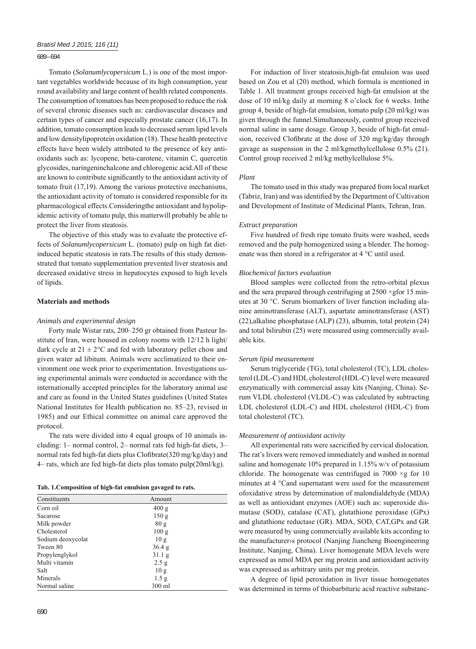#### 689 – 694

Tomato (*Solanumlycopersicum* L.) is one of the most important vegetables worldwide because of its high consumption, year round availability and large content of health related components. The consumption of tomatoes has been proposed to reduce the risk of several chronic diseases such as: cardiovascular diseases and certain types of cancer and especially prostate cancer (16,17). In addition, tomato consumption leads to decreased serum lipid levels and low densitylipoprotein oxidation (18). These health protective effects have been widely attributed to the presence of key antioxidants such as: lycopene, beta-carotene, vitamin C, quercetin glycosides, naringeninchalcone and chlorogenic acid.All of these are known to contribute significantly to the antioxidant activity of tomato fruit (17,19). Among the various protective mechanisms, the antioxidant activity of tomato is considered responsible for its pharmacological effects.Consideringthe antioxidant and hypolipidemic activity of tomato pulp, this matterwill probably be able to protect the liver from steatosis.

The objective of this study was to evaluate the protective effects of *Solanumlycopersicum* L. (tomato) pulp on high fat dietinduced hepatic steatosis in rats.The results of this study demonstrated that tomato supplementation prevented liver steatosis and decreased oxidative stress in hepatocytes exposed to high levels of lipids.

#### **Materials and methods**

#### *Animals and experimental design*

Forty male Wistar rats, 200–250 gr obtained from Pasteur Institute of Iran, were housed in colony rooms with 12/12 h light/ dark cycle at  $21 \pm 2$ °C and fed with laboratory pellet chow and given water ad libitum. Animals were acclimatized to their environment one week prior to experimentation. Investigations using experimental animals were conducted in accordance with the internationally accepted principles for the laboratory animal use and care as found in the United States guidelines (United States National Institutes for Health publication no. 85–23, revised in 1985) and our Ethical committee on animal care approved the protocol.

The rats were divided into 4 equal groups of 10 animals including: 1– normal control, 2– normal rats fed high-fat diets, 3– normal rats fed high-fat diets plus Clofibrate(320 mg/kg/day) and 4– rats, which are fed high-fat diets plus tomato pulp(20ml/kg).

#### **Tab. 1.Composition of high-fat emulsion gavaged to rats.**

| Constituents      | Amount            |
|-------------------|-------------------|
| Corn oil          | 400 g             |
| Sacarose          | 150 g             |
| Milk powder       | 80 g              |
| Cholesterol       | 100 g             |
| Sodium deoxycolat | 10g               |
| Tween 80          | 36.4 g            |
| Propylenglykol    | 31.1 <sub>g</sub> |
| Multi vitamin     | 2.5 <sub>g</sub>  |
| Salt              | 10g               |
| Minerals          | 1.5 <sub>g</sub>  |
| Normal saline     | 300 ml            |

For induction of liver steatosis,high-fat emulsion was used based on Zou et al (20) method, which formula is mentioned in Table 1. All treatment groups received high-fat emulsion at the dose of 10 ml/kg daily at morning 8 o'clock for 6 weeks. Inthe group 4, beside of high-fat emulsion, tomato pulp (20 ml/kg) was given through the funnel.Simultaneously, control group received normal saline in same dosage. Group 3, beside of high-fat emulsion, received Clofibrate at the dose of 320 mg/kg/day through gavage as suspension in the 2 ml/kgmethylcellulose 0.5% (21). Control group received 2 ml/kg methylcellulose 5%.

#### *Plant*

The tomato used in this study was prepared from local market (Tabriz, Iran) and was identified by the Department of Cultivation and Development of Institute of Medicinal Plants, Tehran, Iran.

#### *Extract preparation*

Five hundred of fresh ripe tomato fruits were washed, seeds removed and the pulp homogenized using a blender. The homogenate was then stored in a refrigerator at 4 °C until used.

#### *Biochemical factors evaluation*

Blood samples were collected from the retro-orbital plexus and the sera prepared through centrifuging at  $2500 \times g$  for 15 minutes at 30 °C. Serum biomarkers of liver function including alanine aminotransferase (ALT), aspartate aminotransferase (AST) (22),alkaline phosphatase (ALP) (23), albumin, total protein (24) and total bilirubin (25) were measured using commercially available kits.

#### *Serum lipid measurement*

Serum triglyceride (TG), total cholesterol (TC), LDL cholesterol (LDL-C) and HDL cholesterol (HDL-C) level were measured enzymatically with commercial assay kits (Nanjing, China). Serum VLDL cholesterol (VLDL-C) was calculated by subtracting LDL cholesterol (LDL-C) and HDL cholesterol (HDL-C) from total cholesterol (TC).

#### *Measurement of antioxidant activity*

All experimental rats were sacricified by cervical dislocation. The rat's livers were removed immediately and washed in normal saline and homogenate 10% prepared in 1.15% w/v of potassium chloride. The homogenate was centrifuged in 7000  $\times$ g for 10 minutes at 4 °Cand supernatant were used for the measurement ofoxidative stress by determination of malondialdehyde (MDA) as well as antioxidant enzymes (AOE) such as: superoxide dismutase (SOD), catalase (CAT), glutathione peroxidase (GPx) and glutathione reductase (GR). MDA, SOD, CAT,GPx and GR were measured by using commercially available kits according to the manufacturer›s protocol (Nanjing Jiancheng Bioengineering Institute, Nanjing, China). Liver homogenate MDA levels were expressed as nmol MDA per mg protein and antioxidant activity was expressed as arbitrary units per mg protein.

A degree of lipid peroxidation in liver tissue homogenates was determined in terms of thiobarbituric acid reactive substanc-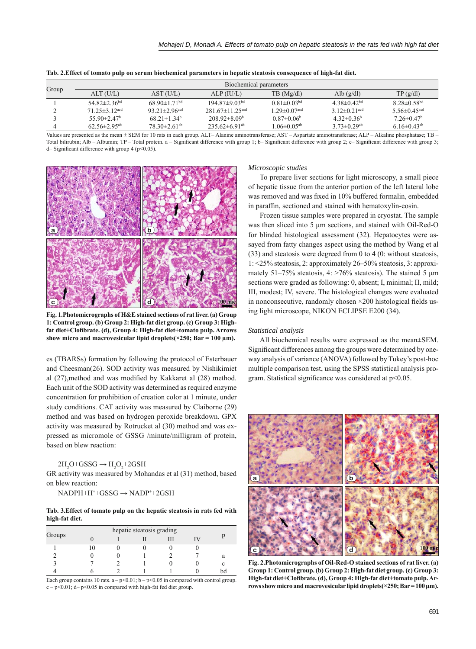| Group |                                 | Biochemical parameters          |                                   |                                |                               |                                |  |  |  |
|-------|---------------------------------|---------------------------------|-----------------------------------|--------------------------------|-------------------------------|--------------------------------|--|--|--|
|       | ALT(U/L)                        | AST (U/L)                       | ALP (IU/L)                        | TB (Mg/dl)                     | Alb $(g/dl)$                  | TP(g/dl)                       |  |  |  |
|       | 54.82 $\pm$ 2.36 <sup>bd</sup>  | $68.90 \pm 1.71$ <sup>bd</sup>  | $194.87\pm9.03bd$                 | $0.81 \pm 0.03$ <sup>bd</sup>  | $4.38\pm0.42^{bd}$            | $8.28 \pm 0.58$ <sup>bd</sup>  |  |  |  |
|       | $71.25 \pm 3.12$ <sup>acd</sup> | 93.21 $\pm$ 2.96 <sup>acd</sup> | $281.67 \pm 11.25$ <sup>acd</sup> | $1.29 \pm 0.07$ <sup>acd</sup> | $3.12\pm 0.21$ acd            | 5.56 $\pm$ 0.45 <sup>acd</sup> |  |  |  |
|       | 55.90 $\pm$ 2.47 <sup>b</sup>   | $68.21 \pm 1.34$ <sup>b</sup>   | $208.92 \pm 8.09^{\circ}$         | $0.87\pm0.06b$                 | $4.32\pm0.36^{\circ}$         | $7.26 \pm 0.47$ <sup>b</sup>   |  |  |  |
|       | $62.56 \pm 2.95$ <sup>ab</sup>  | $78.30 \pm 2.61$ <sup>ab</sup>  | $235.62\pm 6.91$ <sup>ab</sup>    | $1.06 \pm 0.05$ <sup>ab</sup>  | $3.73 \pm 0.29$ <sup>ab</sup> | 6.16 $\pm$ 0.43 <sup>ab</sup>  |  |  |  |

**Tab. 2.Effect of tomato pulp on serum biochemical parameters in hepatic steatosis consequence of high-fat diet.**

Values are presented as the mean ± SEM for 10 rats in each group. ALT– Alanine aminotransferase; AST – Aspartate aminotransferase; ALP – Alkaline phosphatase; TB – Total bilirubin; Alb – Albumin; TP – Total protein. a – Significant difference with group 1; b– Significant difference with group 2; c– Significant difference with group 3; d– Significant difference with group 4 ( $p < 0.05$ ).



**Fig. 1.Photomicrographs of H&E stained sections of rat liver. (a) Group 1: Control group. (b) Group 2: High-fat diet group. (c) Group 3: High**fat diet+Clofibrate. (d), Group 4: High-fat diet+tomato pulp. Arrows show micro and macrovesicular lipid droplets( $\times$ 250; Bar = 100  $\mu$ m).

es (TBARSs) formation by following the protocol of Esterbauer and Cheesman(26). SOD activity was measured by Nishikimiet al  $(27)$ , method and was modified by Kakkaret al  $(28)$  method. Each unit of the SOD activity was determined as required enzyme concentration for prohibition of creation color at 1 minute, under study conditions. CAT activity was measured by Claiborne (29) method and was based on hydrogen peroxide breakdown. GPX activity was measured by Rotrucket al (30) method and was expressed as micromole of GSSG /minute/milligram of protein, based on blew reaction:

 $2H_2O+GSSG \rightarrow H_2O_2+2GSH$ 

GR activity was measured by Mohandas et al (31) method, based on blew reaction:

NADPH+H<sup>+</sup>+GSSG → NADP<sup>+</sup>+2GSH

**Tab. 3.Effect of tomato pulp on the hepatic steatosis in rats fed with high-fat diet.**

| Groups |  |  |  |  |
|--------|--|--|--|--|
|        |  |  |  |  |
|        |  |  |  |  |
|        |  |  |  |  |
|        |  |  |  |  |
|        |  |  |  |  |

Each group contains 10 rats.  $a - p \le 0.01$ ;  $b - p \le 0.05$  in compared with control group.  $c - p \le 0.01$ ; d–  $p \le 0.05$  in compared with high-fat fed diet group.

#### *Microscopic studies*

To prepare liver sections for light microscopy, a small piece of hepatic tissue from the anterior portion of the left lateral lobe was removed and was fixed in 10% buffered formalin, embedded in paraffin, sectioned and stained with hematoxylin-eosin.

Frozen tissue samples were prepared in cryostat. The sample was then sliced into 5 μm sections, and stained with Oil-Red-O for blinded histological assessment (32). Hepatocytes were assayed from fatty changes aspect using the method by Wang et al (33) and steatosis were degreed from 0 to 4 (0: without steatosis, 1: <25% steatosis, 2: approximately 26–50% steatosis, 3: approximately 51–75% steatosis, 4: >76% steatosis). The stained 5 μm sections were graded as following: 0, absent; I, minimal; II, mild; III, modest; IV, severe. The histological changes were evaluated in nonconsecutive, randomly chosen  $\times$ 200 histological fields using light microscope, NIKON ECLIPSE E200 (34).

#### *Statistical analysis*

All biochemical results were expressed as the mean±SEM. Significant differences among the groups were determined by oneway analysis of variance (ANOVA) followed by Tukey's post-hoc multiple comparison test, using the SPSS statistical analysis program. Statistical significance was considered at  $p<0.05$ .



**Fig. 2.Photomicrographs of Oil-Red-O stained sections of rat liver. (a) Group 1: Control group. (b) Group 2: High-fat diet group. (c) Group 3:**  High-fat diet+Clofibrate. (d), Group 4: High-fat diet+tomato pulp. Ar**rows show micro and macrovesicular lipid droplets(** $\times$ **250; Bar = 100**  $\mu$ **m).**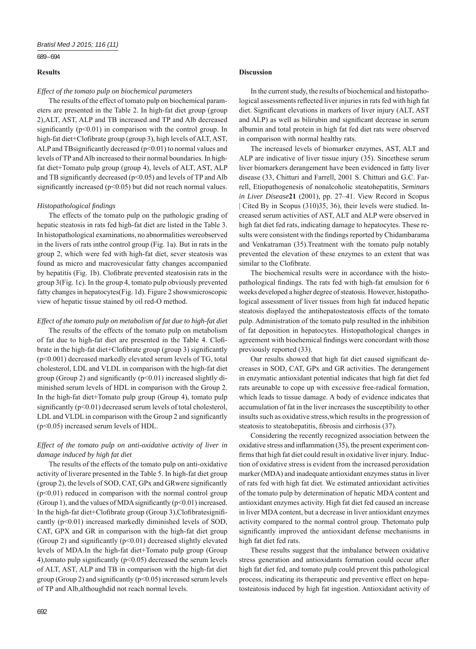689 – 694

# **Results**

## *Effect of the tomato pulp on biochemical parameters*

The results of the effect of tomato pulp on biochemical parameters are presented in the Table 2. In high-fat diet group (group 2),ALT, AST, ALP and TB increased and TP and Alb decreased significantly  $(p<0.01)$  in comparison with the control group. In high-fat diet+Clofibrate group (group 3), high levels of ALT, AST, ALP and TBsignificantly decreased  $(p<0.01)$  to normal values and levels of TP and Alb increased to their normal boundaries. In highfat diet+Tomato pulp group (group 4), levels of ALT, AST, ALP and TB significantly decreased ( $p<0.05$ ) and levels of TP and Alb significantly increased ( $p$ <0.05) but did not reach normal values.

#### *Histopathological fi ndings*

The effects of the tomato pulp on the pathologic grading of hepatic steatosis in rats fed high-fat diet are listed in the Table 3. In histopathological examinations, no abnormalities wereobserved in the livers of rats inthe control group (Fig. 1a). But in rats in the group 2, which were fed with high-fat diet, sever steatosis was found as micro and macrovesicular fatty changes accompanied by hepatitis (Fig. 1b). Clofibrate prevented steatosisin rats in the group 3(Fig. 1c). In the group 4, tomato pulp obviously prevented fatty changes in hepatocytes(Fig. 1d). Figure 2 showsmicroscopic view of hepatic tissue stained by oil red-O method.

#### *Effect of the tomato pulp on metabolism of fat due to high-fat diet*

The results of the effects of the tomato pulp on metabolism of fat due to high-fat diet are presented in the Table 4. Clofibrate in the high-fat diet+Clofibrate group (group  $3$ ) significantly (p<0.001) decreased markedly elevated serum levels of TG, total cholesterol, LDL and VLDL in comparison with the high-fat diet group (Group 2) and significantly  $(p<0.01)$  increased slightly diminished serum levels of HDL in comparison with the Group 2. In the high-fat diet+Tomato pulp group (Group 4), tomato pulp significantly  $(p<0.01)$  decreased serum levels of total cholesterol, LDL and VLDL in comparison with the Group 2 and significantly (p<0.05) increased serum levels of HDL.

# *Effect of the tomato pulp on anti-oxidative activity of liver in damage induced by high fat diet*

The results of the effects of the tomato pulp on anti-oxidative activity of liverare presented in the Table 5. In high-fat diet group (group 2), the levels of SOD, CAT, GPx and GRwere significantly  $(p<0.01)$  reduced in comparison with the normal control group (Group 1), and the values of MDA significantly ( $p<0.01$ ) increased. In the high-fat diet+Clofibrate group (Group 3), Clofibrate significantly (p<0.01) increased markedly diminished levels of SOD, CAT, GPX and GR in comparison with the high-fat diet group (Group 2) and significantly  $(p<0.01)$  decreased slightly elevated levels of MDA.In the high-fat diet+Tomato pulp group (Group 4), tomato pulp significantly ( $p<0.05$ ) decreased the serum levels of ALT, AST, ALP and TB in comparison with the high-fat diet group (Group 2) and significantly  $(p<0.05)$  increased serum levels of TP and Alb,althoughdid not reach normal levels.

# **Discussion**

In the current study, the results of biochemical and histopathological assessments reflected liver injuries in rats fed with high fat diet. Significant elevations in markers of liver injury (ALT, AST) and ALP) as well as bilirubin and significant decrease in serum albumin and total protein in high fat fed diet rats were observed in comparison with normal healthy rats.

The increased levels of biomarker enzymes, AST, ALT and ALP are indicative of liver tissue injury (35). Since these serum liver biomarkers derangement have been evidenced in fatty liver disease ( 33, Chitturi and Farrell, 2001 S. Chitturi and G.C. Farrell, Etiopathogenesis of nonalcoholic steatohepatitis, *Seminars in Liver Disease***21** (2001), pp. 27–41. View Record in Scopus | Cited By in Scopus (310) 35, 36), their levels were studied. Increased serum activities of AST, ALT and ALP were observed in high fat diet fed rats, indicating damage to hepatocytes. These results were consistent with the findings reported by Chidambarama and Venkatraman (35).Treatment with the tomato pulp notably prevented the elevation of these enzymes to an extent that was similar to the Clofibrate.

The biochemical results were in accordance with the histopathological findings. The rats fed with high-fat emulsion for 6 weeks developed a higher degree of steatosis. However, histopathological assessment of liver tissues from high fat induced hepatic steatosis displayed the antihepatosteatosis effects of the tomato pulp. Administration of the tomato pulp resulted in the inhibition of fat deposition in hepatocytes. Histopathological changes in agreement with biochemical findings were concordant with those previously reported (33).

Our results showed that high fat diet caused significant decreases in SOD, CAT, GPx and GR activities. The derangement in enzymatic antioxidant potential indicates that high fat diet fed rats areunable to cope up with excessive free-radical formation, which leads to tissue damage. A body of evidence indicates that accumulation of fat in the liver increases the susceptibility to other insults such as oxidative stress,which results in the progression of steatosis to steatohepatitis, fibrosis and cirrhosis (37).

Considering the recently recognized association between the  $oxidative stress and inflammation (35), the present experiment con$ firms that high fat diet could result in oxidative liver injury. Induction of oxidative stress is evident from the increased peroxidation marker (MDA) and inadequate antioxidant enzymes status in liver of rats fed with high fat diet. We estimated antioxidant activities of the tomato pulp by determination of hepatic MDA content and antioxidant enzymes activity. High fat diet fed caused an increase in liver MDA content, but a decrease in liver antioxidant enzymes activity compared to the normal control group. Thetomato pulp significantly improved the antioxidant defense mechanisms in high fat diet fed rats.

These results suggest that the imbalance between oxidative stress generation and antioxidants formation could occur after high fat diet fed, and tomato pulp could prevent this pathological process, indicating its therapeutic and preventive effect on hepatosteatosis induced by high fat ingestion. Antioxidant activity of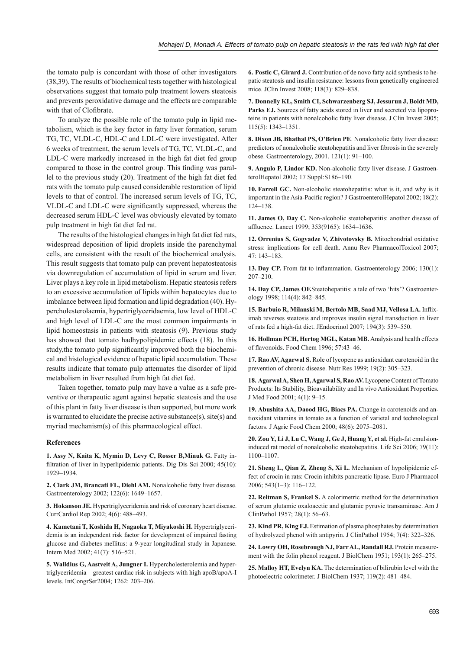the tomato pulp is concordant with those of other investigators (38,39). The results of biochemical tests together with histological observations suggest that tomato pulp treatment lowers steatosis and prevents peroxidative damage and the effects are comparable with that of Clofibrate.

To analyze the possible role of the tomato pulp in lipid metabolism, which is the key factor in fatty liver formation, serum TG, TC, VLDL-C, HDL-C and LDL-C were investigated. After 6 weeks of treatment, the serum levels of TG, TC, VLDL-C, and LDL-C were markedly increased in the high fat diet fed group compared to those in the control group. This finding was parallel to the previous study (20). Treatment of the high fat diet fed rats with the tomato pulp caused considerable restoration of lipid levels to that of control. The increased serum levels of TG, TC, VLDL-C and LDL-C were significantly suppressed, whereas the decreased serum HDL-C level was obviously elevated by tomato pulp treatment in high fat diet fed rat.

The results of the histological changes in high fat diet fed rats, widespread deposition of lipid droplets inside the parenchymal cells, are consistent with the result of the biochemical analysis. This result suggests that tomato pulp can prevent hepatosteatosis via downregulation of accumulation of lipid in serum and liver. Liver plays a key role in lipid metabolism. Hepatic steatosis refers to an excessive accumulation of lipids within hepatocytes due to imbalance between lipid formation and lipid degradation ( 40). Hypercholesterolaemia, hypertriglyceridaemia, low level of HDL-C and high level of LDL-C are the most common impairments in lipid homeostasis in patients with steatosis (9). Previous study has showed that tomato hadhypolipidemic effects (18). In this study, the tomato pulp significantly improved both the biochemical and histological evidence of hepatic lipid accumulation. These results indicate that tomato pulp attenuates the disorder of lipid metabolism in liver resulted from high fat diet fed.

Taken together, tomato pulp may have a value as a safe preventive or therapeutic agent against hepatic steatosis and the use of this plant in fatty liver disease is then supported, but more work is warranted to elucidate the precise active substance(s), site(s) and myriad mechanism(s) of this pharmacological effect.

#### **References**

**1. Assy N, Kaita K, Mymin D, Levy C, Rosser B,Minuk G.** Fatty infiltration of liver in hyperlipidemic patients. Dig Dis Sci 2000; 45(10): 1929–1934.

**2. Clark JM, Brancati FL, Diehl AM.** Nonalcoholic fatty liver disease. Gastroenterology 2002; 122(6): 1649–1657.

**3. Hokanson JE.** Hypertriglyceridemia and risk of coronary heart disease. CurrCardiol Rep 2002; 4(6): 488–493.

**4. Kametani T, Koshida H, Nagaoka T, Miyakoshi H.** Hypertriglyceridemia is an independent risk factor for development of impaired fasting glucose and diabetes mellitus: a 9-year longitudinal study in Japanese. Intern Med 2002; 41(7): 516–521.

**5. Walldius G, Aastveit A, Jungner I.** Hypercholesterolemia and hypertriglyceridemia—greatest cardiac risk in subjects with high apoB/apoA-I levels. IntCongrSer2004; 1262: 203–206.

**6. Postic C, Girard J.** Contribution of de novo fatty acid synthesis to hepatic steatosis and insulin resistance: lessons from genetically engineered mice. JClin Invest 2008; 118(3): 829–838.

**7. Donnelly KL, Smith CI, Schwarzenberg SJ, Jessurun J, Boldt MD,**  Parks EJ. Sources of fatty acids stored in liver and secreted via lipoproteins in patients with nonalcoholic fatty liver disease. J Clin Invest 2005; 115(5): 1343–1351.

**8. Dixon JB, Bhathal PS, O'Brien PE**. Nonalcoholic fatty liver disease: predictors of nonalcoholic steatohepatitis and liver fibrosis in the severely obese. Gastroenterology, 2001. 121(1): 91–100.

**9. Angulo P, Lindor KD.** Non-alcoholic fatty liver disease. J GastroenterolHepatol 2002; 17 Suppl:S186–190.

**10. Farrell GC.** Non-alcoholic steatohepatitis: what is it, and why is it important in the Asia-Pacific region? J GastroenterolHepatol 2002; 18(2): 124–138.

**11. James O, Day C.** Non-alcoholic steatohepatitis: another disease of affluence. Lancet 1999; 353(9165): 1634-1636.

**12. Orrenius S, Gogvadze V, Zhivotovsky B.** Mitochondrial oxidative stress: implications for cell death. Annu Rev PharmacolToxicol 2007; 47: 143–183.

13. Day CP. From fat to inflammation. Gastroenterology 2006; 130(1): 207–210.

**14. Day CP, James OF.**Steatohepatitis: a tale of two 'hits'? Gastroenterology 1998; 114(4): 842–845.

15. Barbuio R, Milanski M, Bertolo MB, Saad MJ, Vellosa LA. Infliximab reverses steatosis and improves insulin signal transduction in liver of rats fed a high-fat diet. JEndocrinol 2007; 194(3): 539–550.

**16. Hollman PCH, Hertog MGL, Katan MB.** Analysis and health effects of flavonoids. Food Chem 1996; 57:43-46.

**17. Rao AV, Agarwal S.** Role of lycopene as antioxidant carotenoid in the prevention of chronic disease. Nutr Res 1999; 19(2): 305–323.

**18. Agarwal A, Shen H, Agarwal S, Rao AV.** Lycopene Content of Tomato Products: Its Stability, Bioavailability and In vivo Antioxidant Properties. J Med Food 2001; 4(1): 9–15.

**19. Abushita AA, Daood HG, Biacs PA.** Change in carotenoids and antioxidant vitamins in tomato as a function of varietal and technological factors. J Agric Food Chem 2000; 48(6): 2075–2081.

**20. Zou Y, Li J, Lu C, Wang J, Ge J, Huang Y, et al.** High-fat emulsioninduced rat model of nonalcoholic steatohepatitis. Life Sci 2006; 79(11): 1100–1107.

**21. Sheng L, Qian Z, Zheng S, Xi L.** Mechanism of hypolipidemic effect of crocin in rats: Crocin inhibits pancreatic lipase. Euro J Pharmacol 2006; 543(1–3): 116–122.

**22. Reitman S, Frankel S.** A colorimetric method for the determination of serum glutamic oxaloacetic and glutamic pyruvic transaminase. Am J ClinPathol 1957; 28(1): 56–63.

**23. Kind PR, King EJ.** Estimation of plasma phosphates by determination of hydrolyzed phenol with antipyrin. J ClinPathol 1954; 7(4): 322–326.

**24. Lowry OH, Rosebrough NJ, Farr AL, Randall RJ.** Protein measurement with the folin phenol reagent. J BiolChem 1951; 193(1): 265–275.

**25. Malloy HT, Evelyn KA.** The determination of bilirubin level with the photoelectric colorimeter. J BiolChem 1937; 119(2): 481–484.